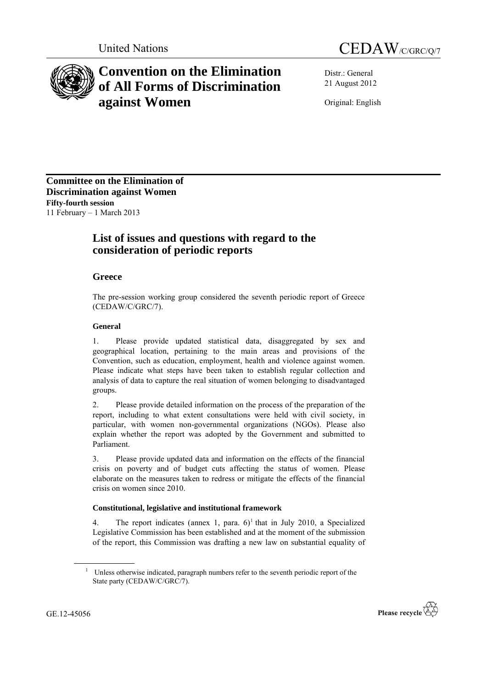



# **Convention on the Elimination of All Forms of Discrimination against Women**

Distr.: General 21 August 2012

Original: English

**Committee on the Elimination of Discrimination against Women Fifty-fourth session** 11 February – 1 March 2013

# **List of issues and questions with regard to the consideration of periodic reports**

# **Greece**

The pre-session working group considered the seventh periodic report of Greece (CEDAW/C/GRC/7).

## **General**

1. Please provide updated statistical data, disaggregated by sex and geographical location, pertaining to the main areas and provisions of the Convention, such as education, employment, health and violence against women. Please indicate what steps have been taken to establish regular collection and analysis of data to capture the real situation of women belonging to disadvantaged groups.

2. Please provide detailed information on the process of the preparation of the report, including to what extent consultations were held with civil society, in particular, with women non-governmental organizations (NGOs). Please also explain whether the report was adopted by the Government and submitted to Parliament.

3. Please provide updated data and information on the effects of the financial crisis on poverty and of budget cuts affecting the status of women. Please elaborate on the measures taken to redress or mitigate the effects of the financial crisis on women since 2010.

## **Constitutional, legislative and institutional framework**

4. The report indicates (annex 1, para.  $6$ )<sup>1</sup> that in July 2010, a Specialized Legislative Commission has been established and at the moment of the submission of the report, this Commission was drafting a new law on substantial equality of

<sup>&</sup>lt;sup>1</sup> Unless otherwise indicated, paragraph numbers refer to the seventh periodic report of the State party (CEDAW/C/GRC/7).

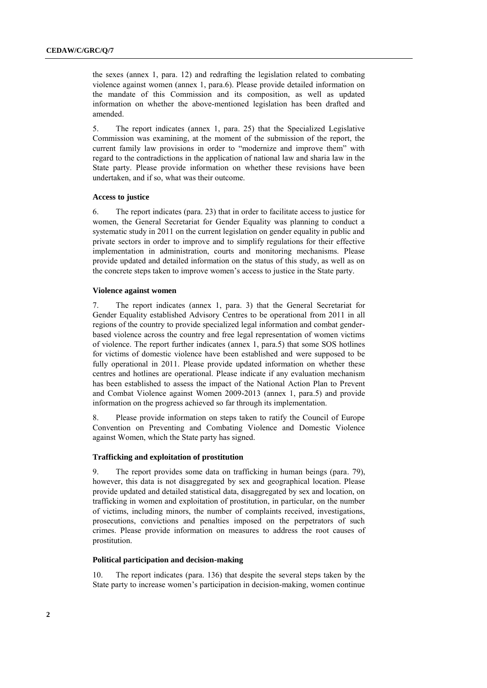the sexes (annex 1, para. 12) and redrafting the legislation related to combating violence against women (annex 1, para.6). Please provide detailed information on the mandate of this Commission and its composition, as well as updated information on whether the above-mentioned legislation has been drafted and amended.

5. The report indicates (annex 1, para. 25) that the Specialized Legislative Commission was examining, at the moment of the submission of the report, the current family law provisions in order to "modernize and improve them" with regard to the contradictions in the application of national law and sharia law in the State party. Please provide information on whether these revisions have been undertaken, and if so, what was their outcome.

#### **Access to justice**

6. The report indicates (para. 23) that in order to facilitate access to justice for women, the General Secretariat for Gender Equality was planning to conduct a systematic study in 2011 on the current legislation on gender equality in public and private sectors in order to improve and to simplify regulations for their effective implementation in administration, courts and monitoring mechanisms. Please provide updated and detailed information on the status of this study, as well as on the concrete steps taken to improve women's access to justice in the State party.

#### **Violence against women**

7. The report indicates (annex 1, para. 3) that the General Secretariat for Gender Equality established Advisory Centres to be operational from 2011 in all regions of the country to provide specialized legal information and combat genderbased violence across the country and free legal representation of women victims of violence. The report further indicates (annex 1, para.5) that some SOS hotlines for victims of domestic violence have been established and were supposed to be fully operational in 2011. Please provide updated information on whether these centres and hotlines are operational. Please indicate if any evaluation mechanism has been established to assess the impact of the National Action Plan to Prevent and Combat Violence against Women 2009-2013 (annex 1, para.5) and provide information on the progress achieved so far through its implementation.

8. Please provide information on steps taken to ratify the Council of Europe Convention on Preventing and Combating Violence and Domestic Violence against Women, which the State party has signed.

#### **Trafficking and exploitation of prostitution**

9. The report provides some data on trafficking in human beings (para. 79), however, this data is not disaggregated by sex and geographical location. Please provide updated and detailed statistical data, disaggregated by sex and location, on trafficking in women and exploitation of prostitution, in particular, on the number of victims, including minors, the number of complaints received, investigations, prosecutions, convictions and penalties imposed on the perpetrators of such crimes. Please provide information on measures to address the root causes of prostitution.

#### **Political participation and decision-making**

10. The report indicates (para. 136) that despite the several steps taken by the State party to increase women's participation in decision-making, women continue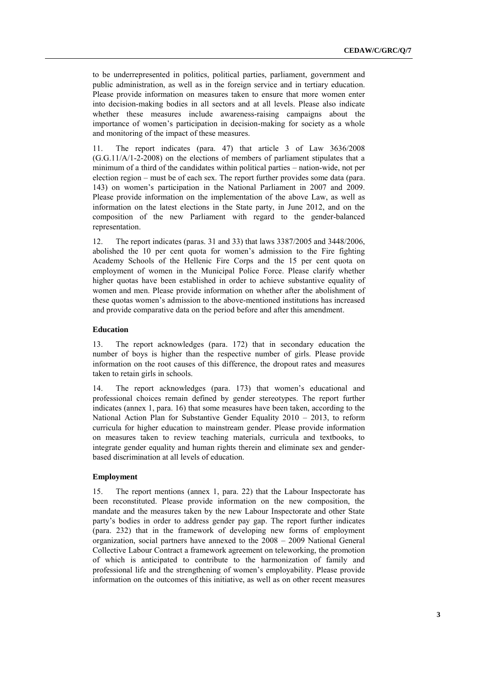to be underrepresented in politics, political parties, parliament, government and public administration, as well as in the foreign service and in tertiary education. Please provide information on measures taken to ensure that more women enter into decision-making bodies in all sectors and at all levels. Please also indicate whether these measures include awareness-raising campaigns about the importance of women's participation in decision-making for society as a whole and monitoring of the impact of these measures.

11. The report indicates (para. 47) that article 3 of Law 3636/2008 (G.G.11/A/1-2-2008) on the elections of members of parliament stipulates that a minimum of a third of the candidates within political parties – nation-wide, not per election region – must be of each sex. The report further provides some data (para. 143) on women's participation in the National Parliament in 2007 and 2009. Please provide information on the implementation of the above Law, as well as information on the latest elections in the State party, in June 2012, and on the composition of the new Parliament with regard to the gender-balanced representation.

12. The report indicates (paras. 31 and 33) that laws 3387/2005 and 3448/2006, abolished the 10 per cent quota for women's admission to the Fire fighting Academy Schools of the Hellenic Fire Corps and the 15 per cent quota on employment of women in the Municipal Police Force. Please clarify whether higher quotas have been established in order to achieve substantive equality of women and men. Please provide information on whether after the abolishment of these quotas women's admission to the above-mentioned institutions has increased and provide comparative data on the period before and after this amendment.

#### **Education**

13. The report acknowledges (para. 172) that in secondary education the number of boys is higher than the respective number of girls. Please provide information on the root causes of this difference, the dropout rates and measures taken to retain girls in schools.

14. The report acknowledges (para. 173) that women's educational and professional choices remain defined by gender stereotypes. The report further indicates (annex 1, para. 16) that some measures have been taken, according to the National Action Plan for Substantive Gender Equality 2010 – 2013, to reform curricula for higher education to mainstream gender. Please provide information on measures taken to review teaching materials, curricula and textbooks, to integrate gender equality and human rights therein and eliminate sex and genderbased discrimination at all levels of education.

#### **Employment**

15. The report mentions (annex 1, para. 22) that the Labour Inspectorate has been reconstituted. Please provide information on the new composition, the mandate and the measures taken by the new Labour Inspectorate and other State party's bodies in order to address gender pay gap. The report further indicates (para. 232) that in the framework of developing new forms of employment organization, social partners have annexed to the 2008 – 2009 National General Collective Labour Contract a framework agreement on teleworking, the promotion of which is anticipated to contribute to the harmonization of family and professional life and the strengthening of women's employability. Please provide information on the outcomes of this initiative, as well as on other recent measures